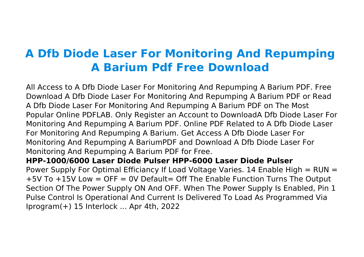# **A Dfb Diode Laser For Monitoring And Repumping A Barium Pdf Free Download**

All Access to A Dfb Diode Laser For Monitoring And Repumping A Barium PDF. Free Download A Dfb Diode Laser For Monitoring And Repumping A Barium PDF or Read A Dfb Diode Laser For Monitoring And Repumping A Barium PDF on The Most Popular Online PDFLAB. Only Register an Account to DownloadA Dfb Diode Laser For Monitoring And Repumping A Barium PDF. Online PDF Related to A Dfb Diode Laser For Monitoring And Repumping A Barium. Get Access A Dfb Diode Laser For Monitoring And Repumping A BariumPDF and Download A Dfb Diode Laser For Monitoring And Repumping A Barium PDF for Free. **HPP-1000/6000 Laser Diode Pulser HPP-6000 Laser Diode Pulser** Power Supply For Optimal Efficiancy If Load Voltage Varies. 14 Enable High = RUN =

+5V To +15V Low = OFF = 0V Default= Off The Enable Function Turns The Output Section Of The Power Supply ON And OFF. When The Power Supply Is Enabled, Pin 1 Pulse Control Is Operational And Current Is Delivered To Load As Programmed Via Iprogram(+) 15 Interlock ... Apr 4th, 2022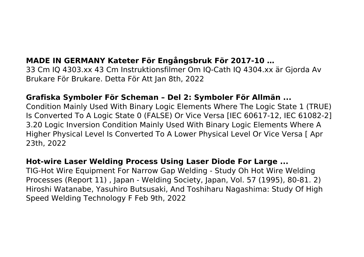# **MADE IN GERMANY Kateter För Engångsbruk För 2017-10 …**

33 Cm IQ 4303.xx 43 Cm Instruktionsfilmer Om IQ-Cath IQ 4304.xx är Gjorda Av Brukare För Brukare. Detta För Att Jan 8th, 2022

## **Grafiska Symboler För Scheman – Del 2: Symboler För Allmän ...**

Condition Mainly Used With Binary Logic Elements Where The Logic State 1 (TRUE) Is Converted To A Logic State 0 (FALSE) Or Vice Versa [IEC 60617-12, IEC 61082-2] 3.20 Logic Inversion Condition Mainly Used With Binary Logic Elements Where A Higher Physical Level Is Converted To A Lower Physical Level Or Vice Versa [ Apr 23th, 2022

## **Hot-wire Laser Welding Process Using Laser Diode For Large ...**

TIG-Hot Wire Equipment For Narrow Gap Welding - Study Oh Hot Wire Welding Processes (Report 11) , Japan - Welding Society, Japan, Vol. 57 (1995), 80-81. 2) Hiroshi Watanabe, Yasuhiro Butsusaki, And Toshiharu Nagashima: Study Of High Speed Welding Technology F Feb 9th, 2022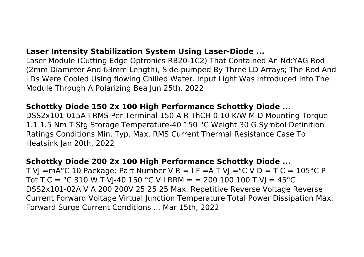## **Laser Intensity Stabilization System Using Laser-Diode ...**

Laser Module (Cutting Edge Optronics RB20-1C2) That Contained An Nd:YAG Rod (2mm Diameter And 63mm Length), Side-pumped By Three LD Arrays; The Rod And LDs Were Cooled Using flowing Chilled Water. Input Light Was Introduced Into The Module Through A Polarizing Bea Jun 25th, 2022

## **Schottky Diode 150 2x 100 High Performance Schottky Diode ...**

DSS2x101-015A I RMS Per Terminal 150 A R ThCH 0.10 K/W M D Mounting Torque 1.1 1.5 Nm T Stg Storage Temperature-40 150 °C Weight 30 G Symbol Definition Ratings Conditions Min. Typ. Max. RMS Current Thermal Resistance Case To Heatsink Jan 20th, 2022

## **Schottky Diode 200 2x 100 High Performance Schottky Diode ...**

T VI = mA°C 10 Package: Part Number V R = I F = A T VI = °C V D = T C = 105 °C P Tot T C =  $\degree$ C 310 W T VJ-40 150  $\degree$ C V I RRM = = 200 100 100 T VJ = 45 $\degree$ C DSS2x101-02A V A 200 200V 25 25 25 Max. Repetitive Reverse Voltage Reverse Current Forward Voltage Virtual Junction Temperature Total Power Dissipation Max. Forward Surge Current Conditions ... Mar 15th, 2022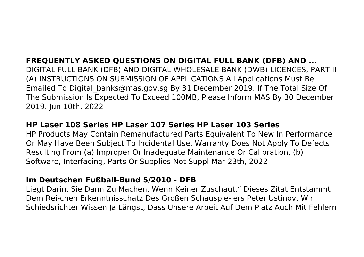# **FREQUENTLY ASKED QUESTIONS ON DIGITAL FULL BANK (DFB) AND ...**

DIGITAL FULL BANK (DFB) AND DIGITAL WHOLESALE BANK (DWB) LICENCES, PART II (A) INSTRUCTIONS ON SUBMISSION OF APPLICATIONS All Applications Must Be Emailed To Digital\_banks@mas.gov.sg By 31 December 2019. If The Total Size Of The Submission Is Expected To Exceed 100MB, Please Inform MAS By 30 December 2019. Jun 10th, 2022

## **HP Laser 108 Series HP Laser 107 Series HP Laser 103 Series**

HP Products May Contain Remanufactured Parts Equivalent To New In Performance Or May Have Been Subject To Incidental Use. Warranty Does Not Apply To Defects Resulting From (a) Improper Or Inadequate Maintenance Or Calibration, (b) Software, Interfacing, Parts Or Supplies Not Suppl Mar 23th, 2022

## **Im Deutschen Fußball-Bund 5/2010 - DFB**

Liegt Darin, Sie Dann Zu Machen, Wenn Keiner Zuschaut." Dieses Zitat Entstammt Dem Rei-chen Erkenntnisschatz Des Großen Schauspie-lers Peter Ustinov. Wir Schiedsrichter Wissen Ja Längst, Dass Unsere Arbeit Auf Dem Platz Auch Mit Fehlern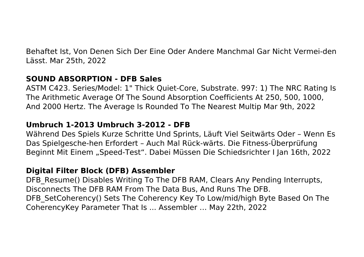Behaftet Ist, Von Denen Sich Der Eine Oder Andere Manchmal Gar Nicht Vermei-den Lässt. Mar 25th, 2022

## **SOUND ABSORPTION - DFB Sales**

ASTM C423. Series/Model: 1" Thick Quiet-Core, Substrate. 997: 1) The NRC Rating Is The Arithmetic Average Of The Sound Absorption Coefficients At 250, 500, 1000, And 2000 Hertz. The Average Is Rounded To The Nearest Multip Mar 9th, 2022

## **Umbruch 1-2013 Umbruch 3-2012 - DFB**

Während Des Spiels Kurze Schritte Und Sprints, Läuft Viel Seitwärts Oder – Wenn Es Das Spielgesche-hen Erfordert – Auch Mal Rück-wärts. Die Fitness-Überprüfung Beginnt Mit Einem "Speed-Test". Dabei Müssen Die Schiedsrichter I Jan 16th, 2022

## **Digital Filter Block (DFB) Assembler**

DFB Resume() Disables Writing To The DFB RAM, Clears Any Pending Interrupts, Disconnects The DFB RAM From The Data Bus, And Runs The DFB. DFB SetCoherency() Sets The Coherency Key To Low/mid/high Byte Based On The CoherencyKey Parameter That Is ... Assembler … May 22th, 2022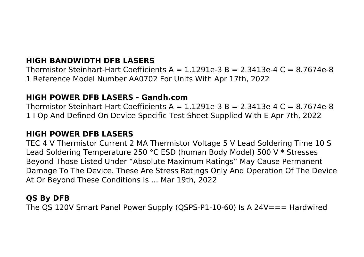# **HIGH BANDWIDTH DFB LASERS**

Thermistor Steinhart-Hart Coefficients  $A = 1.1291e-3$  B = 2.3413e-4 C = 8.7674e-8 1 Reference Model Number AA0702 For Units With Apr 17th, 2022

#### **HIGH POWER DFB LASERS - Gandh.com**

Thermistor Steinhart-Hart Coefficients  $A = 1.1291e-3$  B = 2.3413e-4 C = 8.7674e-8 1 I Op And Defined On Device Specific Test Sheet Supplied With E Apr 7th, 2022

#### **HIGH POWER DFB LASERS**

TEC 4 V Thermistor Current 2 MA Thermistor Voltage 5 V Lead Soldering Time 10 S Lead Soldering Temperature 250 °C ESD (human Body Model) 500 V \* Stresses Beyond Those Listed Under "Absolute Maximum Ratings" May Cause Permanent Damage To The Device. These Are Stress Ratings Only And Operation Of The Device At Or Beyond These Conditions Is ... Mar 19th, 2022

## **QS By DFB**

The QS 120V Smart Panel Power Supply (QSPS-P1-10-60) Is A 24V=== Hardwired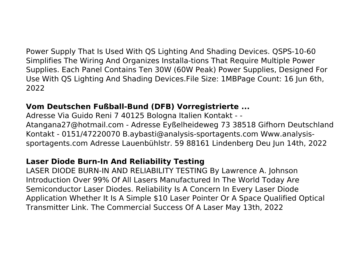Power Supply That Is Used With QS Lighting And Shading Devices. QSPS-10-60 Simplifies The Wiring And Organizes Installa-tions That Require Multiple Power Supplies. Each Panel Contains Ten 30W (60W Peak) Power Supplies, Designed For Use With QS Lighting And Shading Devices.File Size: 1MBPage Count: 16 Jun 6th, 2022

# **Vom Deutschen Fußball-Bund (DFB) Vorregistrierte ...**

Adresse Via Guido Reni 7 40125 Bologna Italien Kontakt - - Atangana27@hotmail.com - Adresse Eyßelheideweg 73 38518 Gifhorn Deutschland Kontakt - 0151/47220070 B.aybasti@analysis-sportagents.com Www.analysissportagents.com Adresse Lauenbühlstr. 59 88161 Lindenberg Deu Jun 14th, 2022

# **Laser Diode Burn-In And Reliability Testing**

LASER DIODE BURN-IN AND RELIABILITY TESTING By Lawrence A. Johnson Introduction Over 99% Of All Lasers Manufactured In The World Today Are Semiconductor Laser Diodes. Reliability Is A Concern In Every Laser Diode Application Whether It Is A Simple \$10 Laser Pointer Or A Space Qualified Optical Transmitter Link. The Commercial Success Of A Laser May 13th, 2022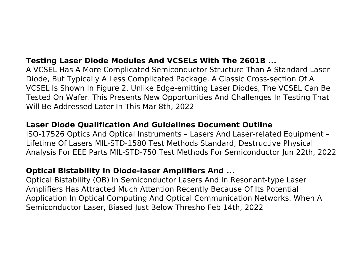# **Testing Laser Diode Modules And VCSELs With The 2601B ...**

A VCSEL Has A More Complicated Semiconductor Structure Than A Standard Laser Diode, But Typically A Less Complicated Package. A Classic Cross-section Of A VCSEL Is Shown In Figure 2. Unlike Edge-emitting Laser Diodes, The VCSEL Can Be Tested On Wafer. This Presents New Opportunities And Challenges In Testing That Will Be Addressed Later In This Mar 8th, 2022

## **Laser Diode Qualification And Guidelines Document Outline**

ISO-17526 Optics And Optical Instruments – Lasers And Laser-related Equipment – Lifetime Of Lasers MIL-STD-1580 Test Methods Standard, Destructive Physical Analysis For EEE Parts MIL-STD-750 Test Methods For Semiconductor Jun 22th, 2022

# **Optical Bistability In Diode-laser Amplifiers And ...**

Optical Bistability (OB) In Semiconductor Lasers And In Resonant-type Laser Amplifiers Has Attracted Much Attention Recently Because Of Its Potential Application In Optical Computing And Optical Communication Networks. When A Semiconductor Laser, Biased Just Below Thresho Feb 14th, 2022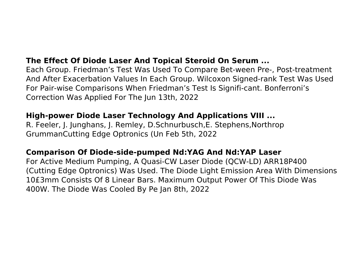# **The Effect Of Diode Laser And Topical Steroid On Serum ...**

Each Group. Friedman's Test Was Used To Compare Bet-ween Pre-, Post-treatment And After Exacerbation Values In Each Group. Wilcoxon Signed-rank Test Was Used For Pair-wise Comparisons When Friedman's Test Is Signifi-cant. Bonferroni's Correction Was Applied For The Jun 13th, 2022

## **High-power Diode Laser Technology And Applications VIII ...**

R. Feeler, J. Junghans, J. Remley, D.Schnurbusch,E. Stephens,Northrop GrummanCutting Edge Optronics (Un Feb 5th, 2022

# **Comparison Of Diode-side-pumped Nd:YAG And Nd:YAP Laser**

For Active Medium Pumping, A Quasi-CW Laser Diode (QCW-LD) ARR18P400 (Cutting Edge Optronics) Was Used. The Diode Light Emission Area With Dimensions 10£3mm Consists Of 8 Linear Bars. Maximum Output Power Of This Diode Was 400W. The Diode Was Cooled By Pe Jan 8th, 2022